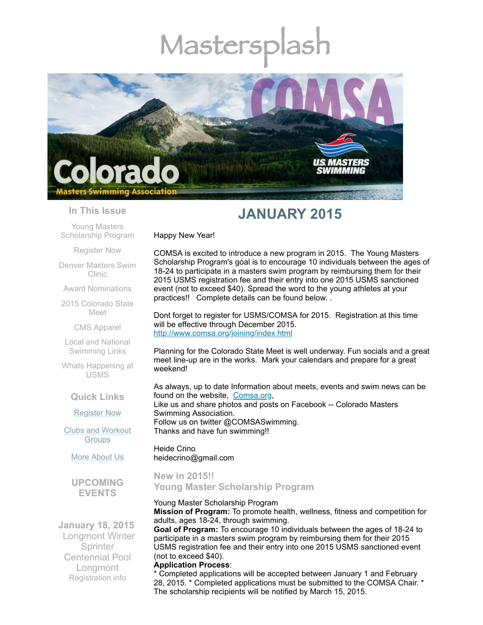# Mastersp



#### **In This Issue**

Young Masters [Scholarship](#page-0-0) Program

[Register](#page-1-0) Now

Denver [Masters](#page-1-1) Swim Clinic

Award [Nominations](#page-1-2)

2015 [Colorado](#page-2-0) State Meet

CMS [Apparel](#page-3-0)

Local and National [Swimming](#page-3-1) Links

Whats [Happening](#page-3-2) at USMS

**Quick Links**

[Register](http://comsa.org/joining/index.html) Now

Clubs and [Workout](http://comsa.org/clubs/index.html) **Groups** 

More [About](http://comsa.org/) Us

**UPCOMING EVENTS**

**January 18, 2015**  Longmont Winter **Sprinter** Centennial Pool Longmont [Registration](http://origin.library.constantcontact.com/download/get/file/1108936408185-191/2015+Winter+Sprinter+Flier%281%29.pdf) info

# **JANUARY 2015**

Happy New Year!

COMSA is excited to introduce a new program in 2015. The Young Masters Scholarship Program's goal is to encourage 10 individuals between the ages of 18-24 to participate in a masters swim program by reimbursing them for their 2015 USMS registration fee and their entry into one 2015 USMS sanctioned event (not to exceed \$40). Spread the word to the young athletes at your practices!! Complete details can be found below. .

Dont forget to register for USMS/COMSA for 2015. Registration at this time will be effective through December 2015. <http://www.comsa.org/joining/index.html>

Planning for the Colorado State Meet is well underway. Fun socials and a great meet line-up are in the works. Mark your calendars and prepare for a great weekend!

As always, up to date Information about meets, events and swim news can be found on the website, [Comsa.org,](http://comsa.org/) Like us and share photos and posts on Facebook -- Colorado Masters Swimming Association. Follow us on twitter @COMSASwimming. Thanks and have fun swimming!!

Heide Crino heidecrino@gmail.com

<span id="page-0-0"></span>**New in 2015!! Young Master Scholarship Program**

Young Master Scholarship Program

**Mission of Program:** To promote health, wellness, fitness and competition for adults, ages 18-24, through swimming.

**Goal of Program:** To encourage 10 individuals between the ages of 18-24 to participate in a masters swim program by reimbursing them for their 2015 USMS registration fee and their entry into one 2015 USMS sanctioned event (not to exceed \$40).

#### **Application Process**:

\* Completed applications will be accepted between January 1 and February 28, 2015. \* Completed applications must be submitted to the COMSA Chair. \* The scholarship recipients will be notified by March 15, 2015.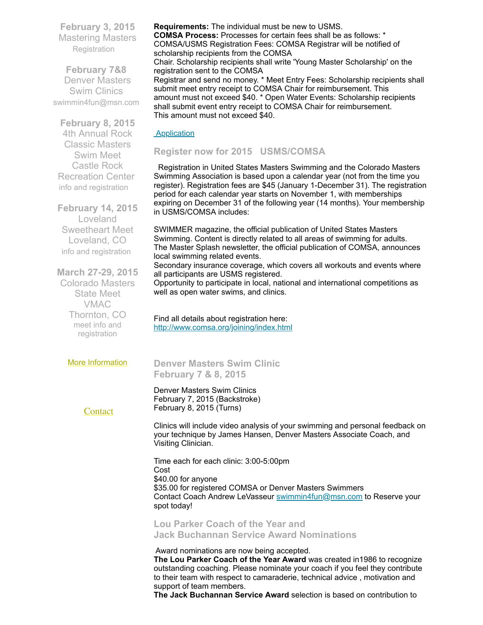**February 3, 2015** Mastering Masters **[Registration](https://www.clubassistant.com/club/clinics.cfm?c=1279)** 

**February 7&8**  Denver Masters Swim Clinics [swimmin4fun@msn.com](mailto:swimmin4fun@msn.com)

**February 8, 2015**

4th Annual Rock Classic Masters Swim Meet Castle Rock Recreation Center info and [registration](https://ti.to/rock-tri-club/rock-classic-2015)

**February 14, 2015** Loveland Sweetheart Meet Loveland, CO info and [registration](http://www.comsa.org/events/2015Pool/2015Sweetheart.pdf)

**March 27-29, 2015** Colorado Masters State Meet VMAC Thornton, CO meet info and [registration](https://www.clubassistant.com/club/meet_information.cfm?c=1279&smid=6143)

More [Information](http://www.comsa.org/)

local swimming related events. all participants are USMS registered.

> Find all details about registration here: <http://www.comsa.org/joining/index.html>

<span id="page-1-1"></span>**Denver Masters Swim Clinic February 7 & 8, 2015**

Denver Masters Swim Clinics February 7, 2015 (Backstroke) February 8, 2015 (Turns)

**[Contact](mailto:heidecrino@gmail.com?)** 

**Requirements:** The individual must be new to USMS. **COMSA Process:** Processes for certain fees shall be as follows: \* COMSA/USMS Registration Fees: COMSA Registrar will be notified of scholarship recipients from the COMSA Chair. Scholarship recipients shall write 'Young Master Scholarship' on the registration sent to the COMSA Registrar and send no money. \* Meet Entry Fees: Scholarship recipients shall submit meet entry receipt to COMSA Chair for reimbursement. This amount must not exceed \$40. \* Open Water Events: Scholarship recipients shall submit event entry receipt to COMSA Chair for reimbursement.

**[Application](https://mlsvc01-prod.s3.amazonaws.com/97cb2c13201/7b0e8b3f-a4e2-4d7f-b92b-766b33b59eff.pdf)** 

# <span id="page-1-0"></span>**Register now for 2015 USMS/COMSA**

This amount must not exceed \$40.

Registration in United States Masters Swimming and the Colorado Masters Swimming Association is based upon a calendar year (not from the time you register). Registration fees are \$45 (January 1-December 31). The registration period for each calendar year starts on November 1, with memberships expiring on December 31 of the following year (14 months). Your membership in USMS/COMSA includes:

SWIMMER magazine, the official publication of United States Masters Swimming. Content is directly related to all areas of swimming for adults. The Master Splash newsletter, the official publication of COMSA, announces

Secondary insurance coverage, which covers all workouts and events where

Opportunity to participate in local, national and international competitions as well as open water swims, and clinics.

Clinics will include video analysis of your swimming and personal feedback on your technique by James Hansen, Denver Masters Associate Coach, and Visiting Clinician.

Time each for each clinic: 3:00-5:00pm Cost \$40.00 for anyone \$35.00 for registered COMSA or Denver Masters Swimmers Contact Coach Andrew LeVasseur [swimmin4fun@msn.com](mailto:swimmin4fun@msn.com) to Reserve your spot today!

<span id="page-1-2"></span>**Lou Parker Coach of the Year and Jack Buchannan Service Award Nominations**

Award nominations are now being accepted.

**The Lou Parker Coach of the Year Award** was created in1986 to recognize outstanding coaching. Please nominate your coach if you feel they contribute to their team with respect to camaraderie, technical advice , motivation and support of team members.

**The Jack Buchannan Service Award** selection is based on contribution to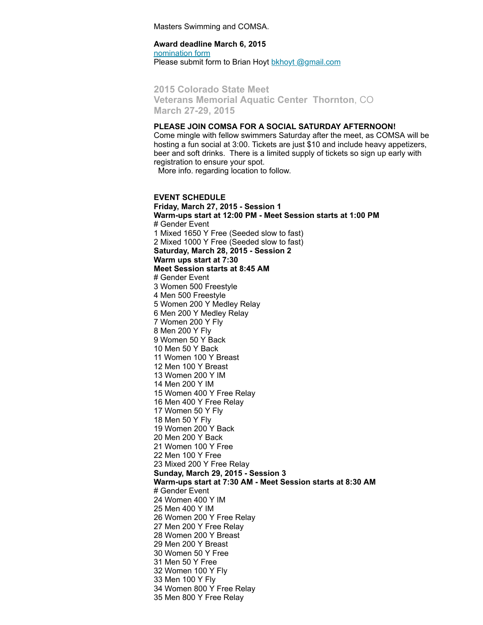Masters Swimming and COMSA.

**Award deadline March 6, 2015** [nomination](http://www.comsa.org/forms/2015Award%20Nomination%20Form.pdf) form Please submit form to Brian Hoyt bkhoyt [@gmail.com](mailto:bkhoyt@gmail.com)

<span id="page-2-0"></span>**2015 Colorado State Meet Veterans Memorial Aquatic Center Thornton**, CO **March 27-29, 2015**

#### **PLEASE JOIN COMSA FOR A SOCIAL SATURDAY AFTERNOON!**

Come mingle with fellow swimmers Saturday after the meet, as COMSA will be hosting a fun social at 3:00. Tickets are just \$10 and include heavy appetizers, beer and soft drinks. There is a limited supply of tickets so sign up early with registration to ensure your spot.

More info. regarding location to follow.

**EVENT SCHEDULE Friday, March 27, 2015 - Session 1 Warm-ups start at 12:00 PM - Meet Session starts at 1:00 PM** # Gender Event Mixed 1650 Y Free (Seeded slow to fast) Mixed 1000 Y Free (Seeded slow to fast) **Saturday, March 28, 2015 - Session 2 Warm ups start at 7:30 Meet Session starts at 8:45 AM** # Gender Event Women 500 Freestyle Men 500 Freestyle Women 200 Y Medley Relay Men 200 Y Medley Relay Women 200 Y Fly Men 200 Y Fly Women 50 Y Back Men 50 Y Back Women 100 Y Breast Men 100 Y Breast Women 200 Y IM Men 200 Y IM Women 400 Y Free Relay Men 400 Y Free Relay Women 50 Y Fly Men 50 Y Fly Women 200 Y Back Men 200 Y Back Women 100 Y Free Men 100 Y Free Mixed 200 Y Free Relay **Sunday, March 29, 2015 - Session 3 Warm-ups start at 7:30 AM - Meet Session starts at 8:30 AM** # Gender Event Women 400 Y IM Men 400 Y IM Women 200 Y Free Relay Men 200 Y Free Relay Women 200 Y Breast Men 200 Y Breast Women 50 Y Free Men 50 Y Free Women 100 Y Fly Men 100 Y Fly Women 800 Y Free Relay Men 800 Y Free Relay